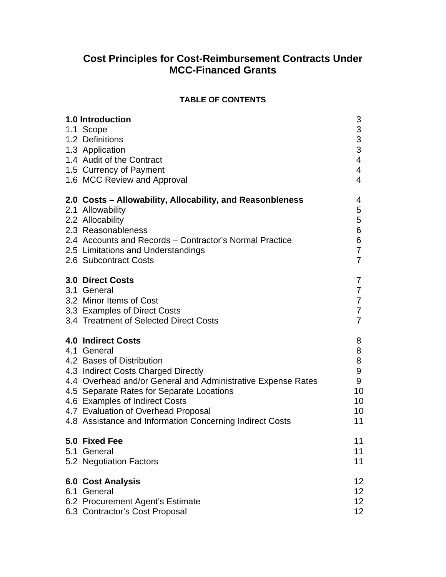# **Cost Principles for Cost-Reimbursement Contracts Under MCC-Financed Grants**

### **TABLE OF CONTENTS**

| <b>1.0 Introduction</b>                                                                                                                                                                                                                                                                                                                                        | 3                                             |
|----------------------------------------------------------------------------------------------------------------------------------------------------------------------------------------------------------------------------------------------------------------------------------------------------------------------------------------------------------------|-----------------------------------------------|
| 1.1 Scope<br>1.2 Definitions                                                                                                                                                                                                                                                                                                                                   | $\begin{array}{c} 3 \\ 3 \\ 3 \end{array}$    |
| 1.3 Application                                                                                                                                                                                                                                                                                                                                                |                                               |
| 1.4 Audit of the Contract                                                                                                                                                                                                                                                                                                                                      | $\overline{\mathbf{4}}$                       |
| 1.5 Currency of Payment                                                                                                                                                                                                                                                                                                                                        | 4                                             |
| 1.6 MCC Review and Approval                                                                                                                                                                                                                                                                                                                                    | $\overline{4}$                                |
| 2.0 Costs – Allowability, Allocability, and Reasonbleness<br>2.1 Allowability<br>2.2 Allocability<br>2.3 Reasonableness<br>2.4 Accounts and Records - Contractor's Normal Practice<br>2.5 Limitations and Understandings<br>2.6 Subcontract Costs                                                                                                              | 4<br>5<br>5<br>6<br>6<br>7<br>$\overline{7}$  |
| <b>3.0 Direct Costs</b>                                                                                                                                                                                                                                                                                                                                        | 7                                             |
| 3.1 General                                                                                                                                                                                                                                                                                                                                                    | $\overline{7}$                                |
| 3.2 Minor Items of Cost                                                                                                                                                                                                                                                                                                                                        | 7<br>7                                        |
| 3.3 Examples of Direct Costs<br>3.4 Treatment of Selected Direct Costs                                                                                                                                                                                                                                                                                         | 7                                             |
| <b>4.0 Indirect Costs</b><br>4.1 General<br>4.2 Bases of Distribution<br>4.3 Indirect Costs Charged Directly<br>4.4 Overhead and/or General and Administrative Expense Rates<br>4.5 Separate Rates for Separate Locations<br>4.6 Examples of Indirect Costs<br>4.7 Evaluation of Overhead Proposal<br>4.8 Assistance and Information Concerning Indirect Costs | 8<br>8<br>8<br>9<br>9<br>10<br>10<br>10<br>11 |
| 5.0 Fixed Fee                                                                                                                                                                                                                                                                                                                                                  | 11                                            |
| 5.1 General                                                                                                                                                                                                                                                                                                                                                    | 11                                            |
| 5.2 Negotiation Factors                                                                                                                                                                                                                                                                                                                                        | 11                                            |
| <b>6.0 Cost Analysis</b><br>6.1 General                                                                                                                                                                                                                                                                                                                        | 12<br>12 <sub>2</sub>                         |
| 6.2 Procurement Agent's Estimate                                                                                                                                                                                                                                                                                                                               | 12 <sub>2</sub>                               |
| 6.3 Contractor's Cost Proposal                                                                                                                                                                                                                                                                                                                                 | 12 <sub>2</sub>                               |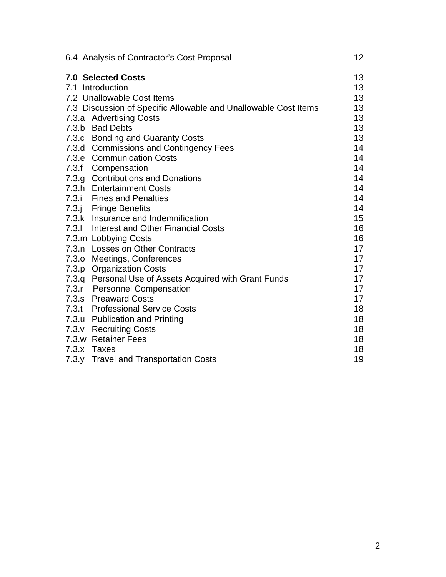| 6.4 Analysis of Contractor's Cost Proposal                      | 12 <sub>2</sub> |
|-----------------------------------------------------------------|-----------------|
| <b>7.0 Selected Costs</b>                                       | 13              |
| 7.1 Introduction                                                | 13              |
| 7.2 Unallowable Cost Items                                      | 13              |
| 7.3 Discussion of Specific Allowable and Unallowable Cost Items | 13              |
| 7.3.a Advertising Costs                                         | 13              |
| 7.3.b Bad Debts                                                 | 13              |
| 7.3.c Bonding and Guaranty Costs                                | 13              |
| 7.3.d Commissions and Contingency Fees                          | 14              |
| 7.3.e Communication Costs                                       | 14              |
| 7.3.f Compensation                                              | 14              |
| 7.3.g Contributions and Donations                               | 14              |
| 7.3.h Entertainment Costs                                       | 14              |
| 7.3.i Fines and Penalties                                       | 14              |
| 7.3.j Fringe Benefits                                           | 14              |
| 7.3.k Insurance and Indemnification                             | 15              |
| 7.3.1 Interest and Other Financial Costs                        | 16              |
| 7.3.m Lobbying Costs                                            | 16              |
| 7.3.n Losses on Other Contracts                                 | 17              |
| 7.3.0 Meetings, Conferences                                     | 17              |
| 7.3.p Organization Costs                                        | 17              |
| 7.3.q Personal Use of Assets Acquired with Grant Funds          | 17              |
| 7.3.r Personnel Compensation                                    | 17              |
| 7.3.s Preaward Costs                                            | 17              |
| 7.3.t Professional Service Costs                                | 18              |
| 7.3.u Publication and Printing                                  | 18              |
| 7.3.v Recruiting Costs                                          | 18              |
| 7.3.w Retainer Fees                                             | 18              |
| 7.3.x Taxes                                                     | 18              |
| 7.3.y Travel and Transportation Costs                           | 19              |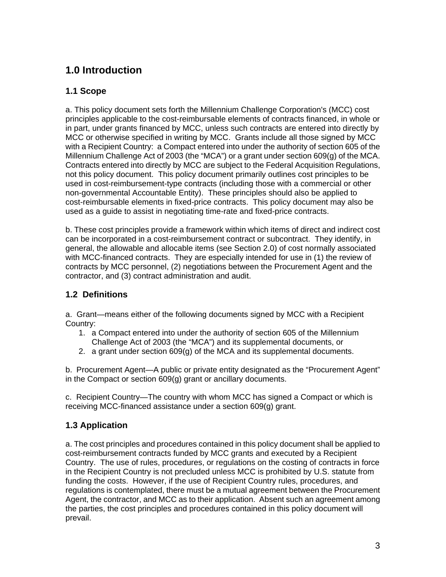# **1.0 Introduction**

# **1.1 Scope**

a. This policy document sets forth the Millennium Challenge Corporation's (MCC) cost principles applicable to the cost-reimbursable elements of contracts financed, in whole or in part, under grants financed by MCC, unless such contracts are entered into directly by MCC or otherwise specified in writing by MCC. Grants include all those signed by MCC with a Recipient Country: a Compact entered into under the authority of section 605 of the Millennium Challenge Act of 2003 (the "MCA") or a grant under section 609(g) of the MCA. Contracts entered into directly by MCC are subject to the Federal Acquisition Regulations, not this policy document. This policy document primarily outlines cost principles to be used in cost-reimbursement-type contracts (including those with a commercial or other non-governmental Accountable Entity). These principles should also be applied to cost-reimbursable elements in fixed-price contracts. This policy document may also be used as a guide to assist in negotiating time-rate and fixed-price contracts.

b. These cost principles provide a framework within which items of direct and indirect cost can be incorporated in a cost-reimbursement contract or subcontract. They identify, in general, the allowable and allocable items (see Section 2.0) of cost normally associated with MCC-financed contracts. They are especially intended for use in (1) the review of contracts by MCC personnel, (2) negotiations between the Procurement Agent and the contractor, and (3) contract administration and audit.

# **1.2 Definitions**

a. Grant—means either of the following documents signed by MCC with a Recipient Country:

- 1. a Compact entered into under the authority of section 605 of the Millennium Challenge Act of 2003 (the "MCA") and its supplemental documents, or
- 2. a grant under section 609(g) of the MCA and its supplemental documents.

b. Procurement Agent—A public or private entity designated as the "Procurement Agent" in the Compact or section 609(g) grant or ancillary documents.

c. Recipient Country—The country with whom MCC has signed a Compact or which is receiving MCC-financed assistance under a section 609(g) grant.

# **1.3 Application**

a. The cost principles and procedures contained in this policy document shall be applied to cost-reimbursement contracts funded by MCC grants and executed by a Recipient Country. The use of rules, procedures, or regulations on the costing of contracts in force in the Recipient Country is not precluded unless MCC is prohibited by U.S. statute from funding the costs. However, if the use of Recipient Country rules, procedures, and regulations is contemplated, there must be a mutual agreement between the Procurement Agent, the contractor, and MCC as to their application. Absent such an agreement among the parties, the cost principles and procedures contained in this policy document will prevail.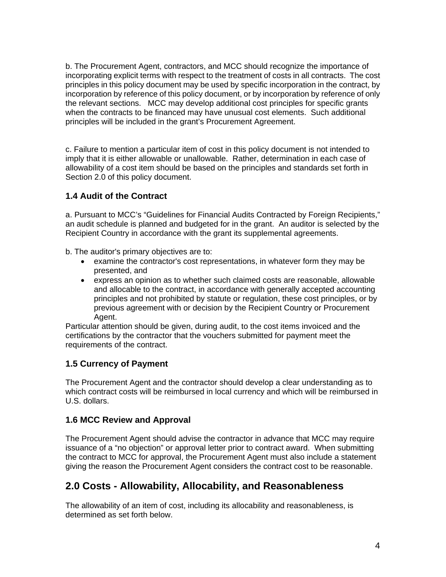b. The Procurement Agent, contractors, and MCC should recognize the importance of incorporating explicit terms with respect to the treatment of costs in all contracts. The cost principles in this policy document may be used by specific incorporation in the contract, by incorporation by reference of this policy document, or by incorporation by reference of only the relevant sections. MCC may develop additional cost principles for specific grants when the contracts to be financed may have unusual cost elements. Such additional principles will be included in the grant's Procurement Agreement.

c. Failure to mention a particular item of cost in this policy document is not intended to imply that it is either allowable or unallowable. Rather, determination in each case of allowability of a cost item should be based on the principles and standards set forth in Section 2.0 of this policy document.

# **1.4 Audit of the Contract**

a. Pursuant to MCC's "Guidelines for Financial Audits Contracted by Foreign Recipients," an audit schedule is planned and budgeted for in the grant. An auditor is selected by the Recipient Country in accordance with the grant its supplemental agreements.

b. The auditor's primary objectives are to:

- examine the contractor's cost representations, in whatever form they may be presented, and
- express an opinion as to whether such claimed costs are reasonable, allowable and allocable to the contract, in accordance with generally accepted accounting principles and not prohibited by statute or regulation, these cost principles, or by previous agreement with or decision by the Recipient Country or Procurement Agent.

Particular attention should be given, during audit, to the cost items invoiced and the certifications by the contractor that the vouchers submitted for payment meet the requirements of the contract.

# **1.5 Currency of Payment**

The Procurement Agent and the contractor should develop a clear understanding as to which contract costs will be reimbursed in local currency and which will be reimbursed in U.S. dollars.

### **1.6 MCC Review and Approval**

The Procurement Agent should advise the contractor in advance that MCC may require issuance of a "no objection" or approval letter prior to contract award. When submitting the contract to MCC for approval, the Procurement Agent must also include a statement giving the reason the Procurement Agent considers the contract cost to be reasonable.

# **2.0 Costs - Allowability, Allocability, and Reasonableness**

The allowability of an item of cost, including its allocability and reasonableness, is determined as set forth below.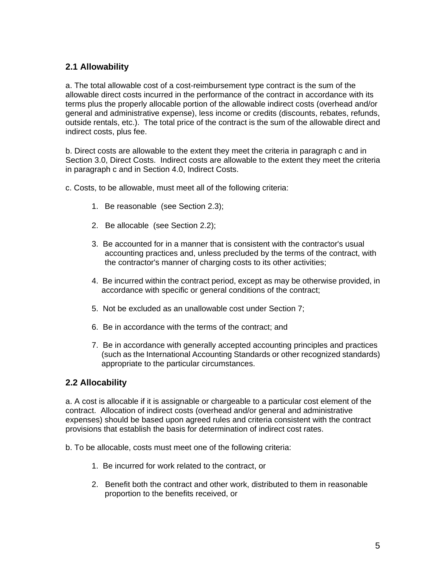### **2.1 Allowability**

a. The total allowable cost of a cost-reimbursement type contract is the sum of the allowable direct costs incurred in the performance of the contract in accordance with its terms plus the properly allocable portion of the allowable indirect costs (overhead and/or general and administrative expense), less income or credits (discounts, rebates, refunds, outside rentals, etc.). The total price of the contract is the sum of the allowable direct and indirect costs, plus fee.

b. Direct costs are allowable to the extent they meet the criteria in paragraph c and in Section 3.0, Direct Costs. Indirect costs are allowable to the extent they meet the criteria in paragraph c and in Section 4.0, Indirect Costs.

c. Costs, to be allowable, must meet all of the following criteria:

- 1. Be reasonable (see Section 2.3);
- 2. Be allocable (see Section 2.2);
- 3. Be accounted for in a manner that is consistent with the contractor's usual accounting practices and, unless precluded by the terms of the contract, with the contractor's manner of charging costs to its other activities;
- 4. Be incurred within the contract period, except as may be otherwise provided, in accordance with specific or general conditions of the contract;
- 5. Not be excluded as an unallowable cost under Section 7;
- 6. Be in accordance with the terms of the contract; and
- 7. Be in accordance with generally accepted accounting principles and practices (such as the International Accounting Standards or other recognized standards) appropriate to the particular circumstances.

### **2.2 Allocability**

a. A cost is allocable if it is assignable or chargeable to a particular cost element of the contract. Allocation of indirect costs (overhead and/or general and administrative expenses) should be based upon agreed rules and criteria consistent with the contract provisions that establish the basis for determination of indirect cost rates.

b. To be allocable, costs must meet one of the following criteria:

- 1. Be incurred for work related to the contract, or
- 2. Benefit both the contract and other work, distributed to them in reasonable proportion to the benefits received, or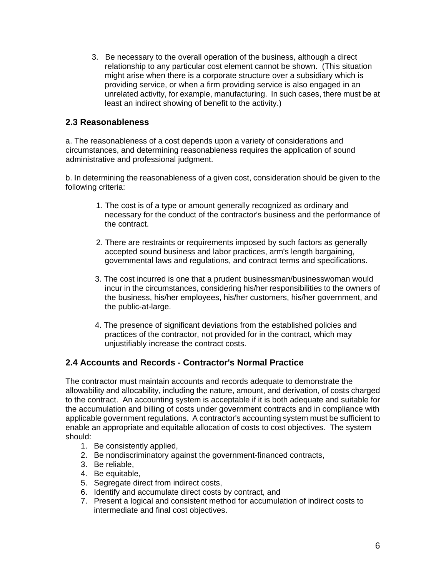3. Be necessary to the overall operation of the business, although a direct relationship to any particular cost element cannot be shown. (This situation might arise when there is a corporate structure over a subsidiary which is providing service, or when a firm providing service is also engaged in an unrelated activity, for example, manufacturing. In such cases, there must be at least an indirect showing of benefit to the activity.)

### **2.3 Reasonableness**

a. The reasonableness of a cost depends upon a variety of considerations and circumstances, and determining reasonableness requires the application of sound administrative and professional judgment.

b. In determining the reasonableness of a given cost, consideration should be given to the following criteria:

- 1. The cost is of a type or amount generally recognized as ordinary and necessary for the conduct of the contractor's business and the performance of the contract.
- 2. There are restraints or requirements imposed by such factors as generally accepted sound business and labor practices, arm's length bargaining, governmental laws and regulations, and contract terms and specifications.
- 3. The cost incurred is one that a prudent businessman/businesswoman would incur in the circumstances, considering his/her responsibilities to the owners of the business, his/her employees, his/her customers, his/her government, and the public-at-large.
- 4. The presence of significant deviations from the established policies and practices of the contractor, not provided for in the contract, which may unjustifiably increase the contract costs.

# **2.4 Accounts and Records - Contractor's Normal Practice**

The contractor must maintain accounts and records adequate to demonstrate the allowability and allocability, including the nature, amount, and derivation, of costs charged to the contract. An accounting system is acceptable if it is both adequate and suitable for the accumulation and billing of costs under government contracts and in compliance with applicable government regulations. A contractor's accounting system must be sufficient to enable an appropriate and equitable allocation of costs to cost objectives. The system should:

- 1. Be consistently applied,
- 2. Be nondiscriminatory against the government-financed contracts,
- 3. Be reliable,
- 4. Be equitable,
- 5. Segregate direct from indirect costs,
- 6. Identify and accumulate direct costs by contract, and
- 7. Present a logical and consistent method for accumulation of indirect costs to intermediate and final cost objectives.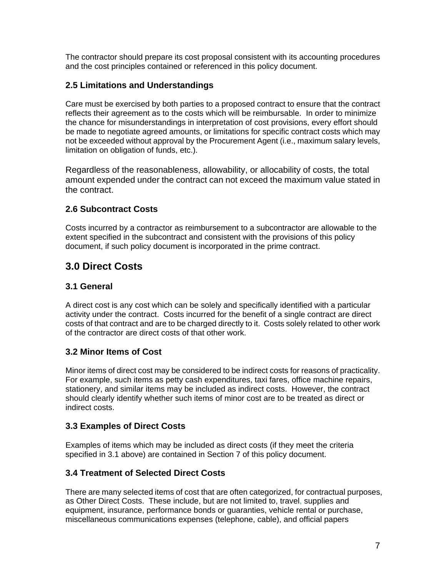The contractor should prepare its cost proposal consistent with its accounting procedures and the cost principles contained or referenced in this policy document.

### **2.5 Limitations and Understandings**

Care must be exercised by both parties to a proposed contract to ensure that the contract reflects their agreement as to the costs which will be reimbursable. In order to minimize the chance for misunderstandings in interpretation of cost provisions, every effort should be made to negotiate agreed amounts, or limitations for specific contract costs which may not be exceeded without approval by the Procurement Agent (i.e., maximum salary levels, limitation on obligation of funds, etc.).

Regardless of the reasonableness, allowability, or allocability of costs, the total amount expended under the contract can not exceed the maximum value stated in the contract.

### **2.6 Subcontract Costs**

Costs incurred by a contractor as reimbursement to a subcontractor are allowable to the extent specified in the subcontract and consistent with the provisions of this policy document, if such policy document is incorporated in the prime contract.

# **3.0 Direct Costs**

### **3.1 General**

A direct cost is any cost which can be solely and specifically identified with a particular activity under the contract. Costs incurred for the benefit of a single contract are direct costs of that contract and are to be charged directly to it. Costs solely related to other work of the contractor are direct costs of that other work.

### **3.2 Minor Items of Cost**

Minor items of direct cost may be considered to be indirect costs for reasons of practicality. For example, such items as petty cash expenditures, taxi fares, office machine repairs, stationery, and similar items may be included as indirect costs. However, the contract should clearly identify whether such items of minor cost are to be treated as direct or indirect costs.

### **3.3 Examples of Direct Costs**

Examples of items which may be included as direct costs (if they meet the criteria specified in 3.1 above) are contained in Section 7 of this policy document.

### **3.4 Treatment of Selected Direct Costs**

There are many selected items of cost that are often categorized, for contractual purposes, as Other Direct Costs. These include, but are not limited to, travel, supplies and equipment, insurance, performance bonds or guaranties, vehicle rental or purchase, miscellaneous communications expenses (telephone, cable), and official papers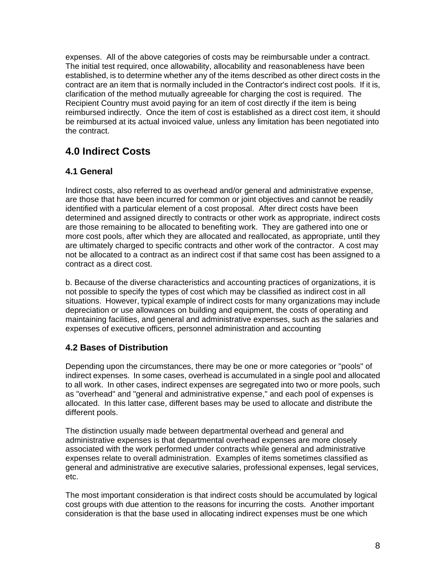expenses. All of the above categories of costs may be reimbursable under a contract. The initial test required, once allowability, allocability and reasonableness have been established, is to determine whether any of the items described as other direct costs in the contract are an item that is normally included in the Contractor's indirect cost pools. If it is, clarification of the method mutually agreeable for charging the cost is required. The Recipient Country must avoid paying for an item of cost directly if the item is being reimbursed indirectly. Once the item of cost is established as a direct cost item, it should be reimbursed at its actual invoiced value, unless any limitation has been negotiated into the contract.

# **4.0 Indirect Costs**

# **4.1 General**

Indirect costs, also referred to as overhead and/or general and administrative expense, are those that have been incurred for common or joint objectives and cannot be readily identified with a particular element of a cost proposal. After direct costs have been determined and assigned directly to contracts or other work as appropriate, indirect costs are those remaining to be allocated to benefiting work. They are gathered into one or more cost pools, after which they are allocated and reallocated, as appropriate, until they are ultimately charged to specific contracts and other work of the contractor. A cost may not be allocated to a contract as an indirect cost if that same cost has been assigned to a contract as a direct cost.

b. Because of the diverse characteristics and accounting practices of organizations, it is not possible to specify the types of cost which may be classified as indirect cost in all situations. However, typical example of indirect costs for many organizations may include depreciation or use allowances on building and equipment, the costs of operating and maintaining facilities, and general and administrative expenses, such as the salaries and expenses of executive officers, personnel administration and accounting

# **4.2 Bases of Distribution**

Depending upon the circumstances, there may be one or more categories or "pools" of indirect expenses. In some cases, overhead is accumulated in a single pool and allocated to all work. In other cases, indirect expenses are segregated into two or more pools, such as "overhead" and "general and administrative expense," and each pool of expenses is allocated. In this latter case, different bases may be used to allocate and distribute the different pools.

The distinction usually made between departmental overhead and general and administrative expenses is that departmental overhead expenses are more closely associated with the work performed under contracts while general and administrative expenses relate to overall administration. Examples of items sometimes classified as general and administrative are executive salaries, professional expenses, legal services, etc.

The most important consideration is that indirect costs should be accumulated by logical cost groups with due attention to the reasons for incurring the costs. Another important consideration is that the base used in allocating indirect expenses must be one which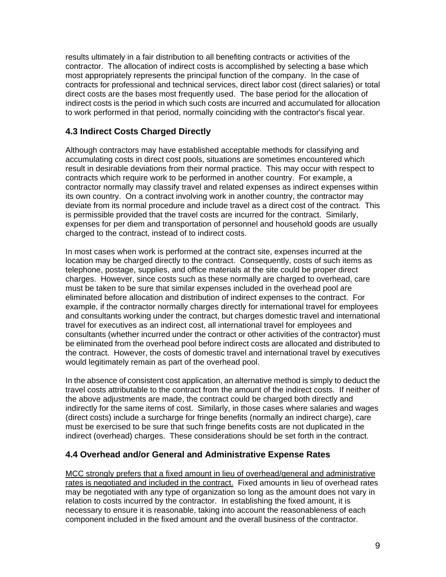results ultimately in a fair distribution to all benefiting contracts or activities of the contractor. The allocation of indirect costs is accomplished by selecting a base which most appropriately represents the principal function of the company. In the case of contracts for professional and technical services, direct labor cost (direct salaries) or total direct costs are the bases most frequently used. The base period for the allocation of indirect costs is the period in which such costs are incurred and accumulated for allocation to work performed in that period, normally coinciding with the contractor's fiscal year.

# **4.3 Indirect Costs Charged Directly**

Although contractors may have established acceptable methods for classifying and accumulating costs in direct cost pools, situations are sometimes encountered which result in desirable deviations from their normal practice. This may occur with respect to contracts which require work to be performed in another country. For example, a contractor normally may classify travel and related expenses as indirect expenses within its own country. On a contract involving work in another country, the contractor may deviate from its normal procedure and include travel as a direct cost of the contract. This is permissible provided that the travel costs are incurred for the contract. Similarly, expenses for per diem and transportation of personnel and household goods are usually charged to the contract, instead of to indirect costs.

In most cases when work is performed at the contract site, expenses incurred at the location may be charged directly to the contract. Consequently, costs of such items as telephone, postage, supplies, and office materials at the site could be proper direct charges. However, since costs such as these normally are charged to overhead, care must be taken to be sure that similar expenses included in the overhead pool are eliminated before allocation and distribution of indirect expenses to the contract. For example, if the contractor normally charges directly for international travel for employees and consultants working under the contract, but charges domestic travel and international travel for executives as an indirect cost, all international travel for employees and consultants (whether incurred under the contract or other activities of the contractor) must be eliminated from the overhead pool before indirect costs are allocated and distributed to the contract. However, the costs of domestic travel and international travel by executives would legitimately remain as part of the overhead pool.

In the absence of consistent cost application, an alternative method is simply to deduct the travel costs attributable to the contract from the amount of the indirect costs. If neither of the above adjustments are made, the contract could be charged both directly and indirectly for the same items of cost. Similarly, in those cases where salaries and wages (direct costs) include a surcharge for fringe benefits (normally an indirect charge), care must be exercised to be sure that such fringe benefits costs are not duplicated in the indirect (overhead) charges. These considerations should be set forth in the contract.

# **4.4 Overhead and/or General and Administrative Expense Rates**

MCC strongly prefers that a fixed amount in lieu of overhead/general and administrative rates is negotiated and included in the contract. Fixed amounts in lieu of overhead rates may be negotiated with any type of organization so long as the amount does not vary in relation to costs incurred by the contractor. In establishing the fixed amount, it is necessary to ensure it is reasonable, taking into account the reasonableness of each component included in the fixed amount and the overall business of the contractor.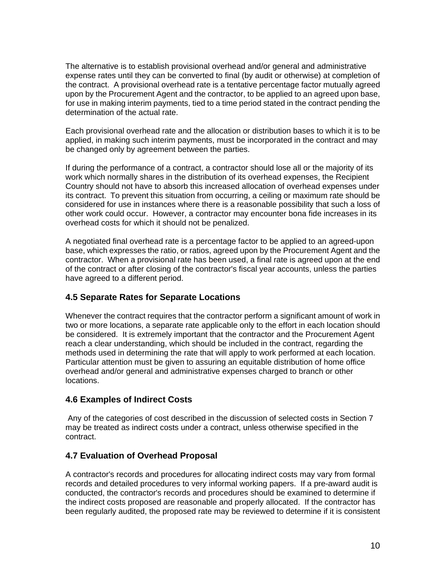The alternative is to establish provisional overhead and/or general and administrative expense rates until they can be converted to final (by audit or otherwise) at completion of the contract. A provisional overhead rate is a tentative percentage factor mutually agreed upon by the Procurement Agent and the contractor, to be applied to an agreed upon base, for use in making interim payments, tied to a time period stated in the contract pending the determination of the actual rate.

Each provisional overhead rate and the allocation or distribution bases to which it is to be applied, in making such interim payments, must be incorporated in the contract and may be changed only by agreement between the parties.

If during the performance of a contract, a contractor should lose all or the majority of its work which normally shares in the distribution of its overhead expenses, the Recipient Country should not have to absorb this increased allocation of overhead expenses under its contract. To prevent this situation from occurring, a ceiling or maximum rate should be considered for use in instances where there is a reasonable possibility that such a loss of other work could occur. However, a contractor may encounter bona fide increases in its overhead costs for which it should not be penalized.

A negotiated final overhead rate is a percentage factor to be applied to an agreed-upon base, which expresses the ratio, or ratios, agreed upon by the Procurement Agent and the contractor. When a provisional rate has been used, a final rate is agreed upon at the end of the contract or after closing of the contractor's fiscal year accounts, unless the parties have agreed to a different period.

# **4.5 Separate Rates for Separate Locations**

Whenever the contract requires that the contractor perform a significant amount of work in two or more locations, a separate rate applicable only to the effort in each location should be considered. It is extremely important that the contractor and the Procurement Agent reach a clear understanding, which should be included in the contract, regarding the methods used in determining the rate that will apply to work performed at each location. Particular attention must be given to assuring an equitable distribution of home office overhead and/or general and administrative expenses charged to branch or other locations.

# **4.6 Examples of Indirect Costs**

 Any of the categories of cost described in the discussion of selected costs in Section 7 may be treated as indirect costs under a contract, unless otherwise specified in the contract.

# **4.7 Evaluation of Overhead Proposal**

A contractor's records and procedures for allocating indirect costs may vary from formal records and detailed procedures to very informal working papers. If a pre-award audit is conducted, the contractor's records and procedures should be examined to determine if the indirect costs proposed are reasonable and properly allocated. If the contractor has been regularly audited, the proposed rate may be reviewed to determine if it is consistent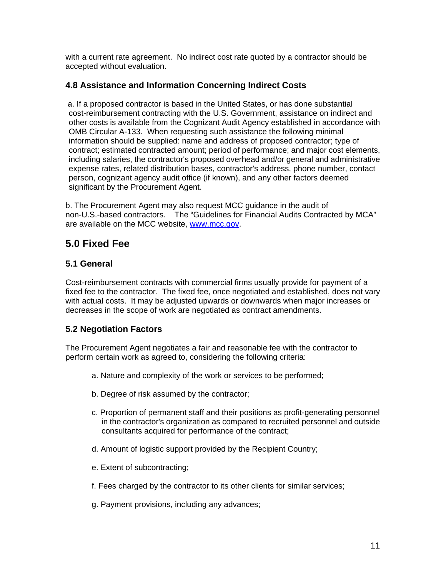with a current rate agreement. No indirect cost rate quoted by a contractor should be accepted without evaluation.

### **4.8 Assistance and Information Concerning Indirect Costs**

 a. If a proposed contractor is based in the United States, or has done substantial cost-reimbursement contracting with the U.S. Government, assistance on indirect and other costs is available from the Cognizant Audit Agency established in accordance with OMB Circular A-133. When requesting such assistance the following minimal information should be supplied: name and address of proposed contractor; type of contract; estimated contracted amount; period of performance; and major cost elements, including salaries, the contractor's proposed overhead and/or general and administrative expense rates, related distribution bases, contractor's address, phone number, contact person, cognizant agency audit office (if known), and any other factors deemed significant by the Procurement Agent.

b. The Procurement Agent may also request MCC guidance in the audit of non-U.S.-based contractors. The "Guidelines for Financial Audits Contracted by MCA" are available on the MCC website, www.mcc.gov.

# **5.0 Fixed Fee**

# **5.1 General**

Cost-reimbursement contracts with commercial firms usually provide for payment of a fixed fee to the contractor. The fixed fee, once negotiated and established, does not vary with actual costs. It may be adjusted upwards or downwards when major increases or decreases in the scope of work are negotiated as contract amendments.

# **5.2 Negotiation Factors**

The Procurement Agent negotiates a fair and reasonable fee with the contractor to perform certain work as agreed to, considering the following criteria:

- a. Nature and complexity of the work or services to be performed;
- b. Degree of risk assumed by the contractor;
- c. Proportion of permanent staff and their positions as profit-generating personnel in the contractor's organization as compared to recruited personnel and outside consultants acquired for performance of the contract;
- d. Amount of logistic support provided by the Recipient Country;
- e. Extent of subcontracting;
- f. Fees charged by the contractor to its other clients for similar services;
- g. Payment provisions, including any advances;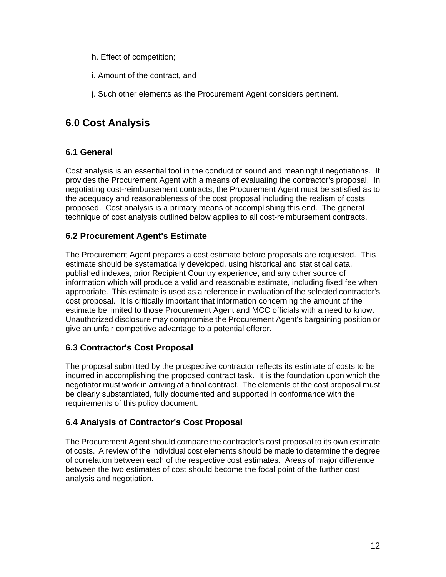- h. Effect of competition;
- i. Amount of the contract, and
- j. Such other elements as the Procurement Agent considers pertinent.

# **6.0 Cost Analysis**

# **6.1 General**

Cost analysis is an essential tool in the conduct of sound and meaningful negotiations. It provides the Procurement Agent with a means of evaluating the contractor's proposal. In negotiating cost-reimbursement contracts, the Procurement Agent must be satisfied as to the adequacy and reasonableness of the cost proposal including the realism of costs proposed. Cost analysis is a primary means of accomplishing this end. The general technique of cost analysis outlined below applies to all cost-reimbursement contracts.

# **6.2 Procurement Agent's Estimate**

The Procurement Agent prepares a cost estimate before proposals are requested. This estimate should be systematically developed, using historical and statistical data, published indexes, prior Recipient Country experience, and any other source of information which will produce a valid and reasonable estimate, including fixed fee when appropriate. This estimate is used as a reference in evaluation of the selected contractor's cost proposal. It is critically important that information concerning the amount of the estimate be limited to those Procurement Agent and MCC officials with a need to know. Unauthorized disclosure may compromise the Procurement Agent's bargaining position or give an unfair competitive advantage to a potential offeror.

# **6.3 Contractor's Cost Proposal**

The proposal submitted by the prospective contractor reflects its estimate of costs to be incurred in accomplishing the proposed contract task. It is the foundation upon which the negotiator must work in arriving at a final contract. The elements of the cost proposal must be clearly substantiated, fully documented and supported in conformance with the requirements of this policy document.

# **6.4 Analysis of Contractor's Cost Proposal**

The Procurement Agent should compare the contractor's cost proposal to its own estimate of costs. A review of the individual cost elements should be made to determine the degree of correlation between each of the respective cost estimates. Areas of major difference between the two estimates of cost should become the focal point of the further cost analysis and negotiation.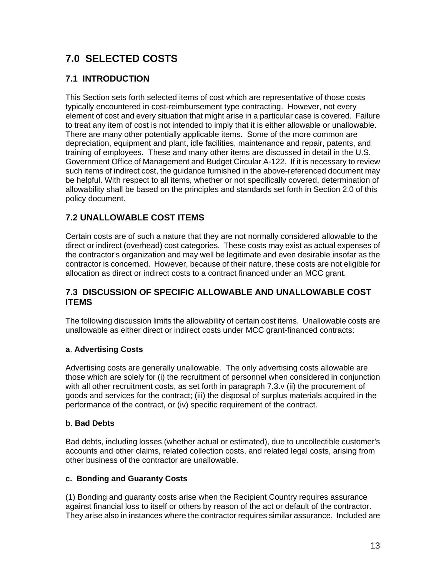# **7.0 SELECTED COSTS**

# **7.1 INTRODUCTION**

This Section sets forth selected items of cost which are representative of those costs typically encountered in cost-reimbursement type contracting. However, not every element of cost and every situation that might arise in a particular case is covered. Failure to treat any item of cost is not intended to imply that it is either allowable or unallowable. There are many other potentially applicable items. Some of the more common are depreciation, equipment and plant, idle facilities, maintenance and repair, patents, and training of employees. These and many other items are discussed in detail in the U.S. Government Office of Management and Budget Circular A-122. If it is necessary to review such items of indirect cost, the guidance furnished in the above-referenced document may be helpful. With respect to all items, whether or not specifically covered, determination of allowability shall be based on the principles and standards set forth in Section 2.0 of this policy document.

# **7.2 UNALLOWABLE COST ITEMS**

Certain costs are of such a nature that they are not normally considered allowable to the direct or indirect (overhead) cost categories. These costs may exist as actual expenses of the contractor's organization and may well be legitimate and even desirable insofar as the contractor is concerned. However, because of their nature, these costs are not eligible for allocation as direct or indirect costs to a contract financed under an MCC grant.

### **7.3 DISCUSSION OF SPECIFIC ALLOWABLE AND UNALLOWABLE COST ITEMS**

The following discussion limits the allowability of certain cost items. Unallowable costs are unallowable as either direct or indirect costs under MCC grant-financed contracts:

### **a**. **Advertising Costs**

Advertising costs are generally unallowable. The only advertising costs allowable are those which are solely for (i) the recruitment of personnel when considered in conjunction with all other recruitment costs, as set forth in paragraph 7.3.v (ii) the procurement of goods and services for the contract; (iii) the disposal of surplus materials acquired in the performance of the contract, or (iv) specific requirement of the contract.

### **b**. **Bad Debts**

Bad debts, including losses (whether actual or estimated), due to uncollectible customer's accounts and other claims, related collection costs, and related legal costs, arising from other business of the contractor are unallowable.

### **c. Bonding and Guaranty Costs**

(1) Bonding and guaranty costs arise when the Recipient Country requires assurance against financial loss to itself or others by reason of the act or default of the contractor. They arise also in instances where the contractor requires similar assurance. Included are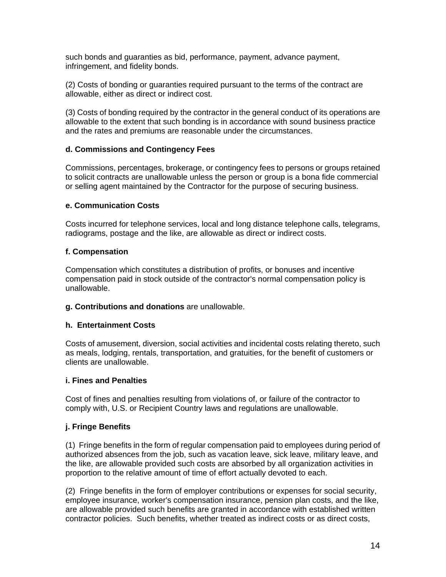such bonds and guaranties as bid, performance, payment, advance payment, infringement, and fidelity bonds.

(2) Costs of bonding or guaranties required pursuant to the terms of the contract are allowable, either as direct or indirect cost.

(3) Costs of bonding required by the contractor in the general conduct of its operations are allowable to the extent that such bonding is in accordance with sound business practice and the rates and premiums are reasonable under the circumstances.

#### **d. Commissions and Contingency Fees**

Commissions, percentages, brokerage, or contingency fees to persons or groups retained to solicit contracts are unallowable unless the person or group is a bona fide commercial or selling agent maintained by the Contractor for the purpose of securing business.

#### **e. Communication Costs**

Costs incurred for telephone services, local and long distance telephone calls, telegrams, radiograms, postage and the like, are allowable as direct or indirect costs.

#### **f. Compensation**

Compensation which constitutes a distribution of profits, or bonuses and incentive compensation paid in stock outside of the contractor's normal compensation policy is unallowable.

#### **g. Contributions and donations** are unallowable.

#### **h. Entertainment Costs**

Costs of amusement, diversion, social activities and incidental costs relating thereto, such as meals, lodging, rentals, transportation, and gratuities, for the benefit of customers or clients are unallowable.

#### **i. Fines and Penalties**

Cost of fines and penalties resulting from violations of, or failure of the contractor to comply with, U.S. or Recipient Country laws and regulations are unallowable.

#### **j. Fringe Benefits**

(1) Fringe benefits in the form of regular compensation paid to employees during period of authorized absences from the job, such as vacation leave, sick leave, military leave, and the like, are allowable provided such costs are absorbed by all organization activities in proportion to the relative amount of time of effort actually devoted to each.

(2) Fringe benefits in the form of employer contributions or expenses for social security, employee insurance, worker's compensation insurance, pension plan costs, and the like, are allowable provided such benefits are granted in accordance with established written contractor policies. Such benefits, whether treated as indirect costs or as direct costs,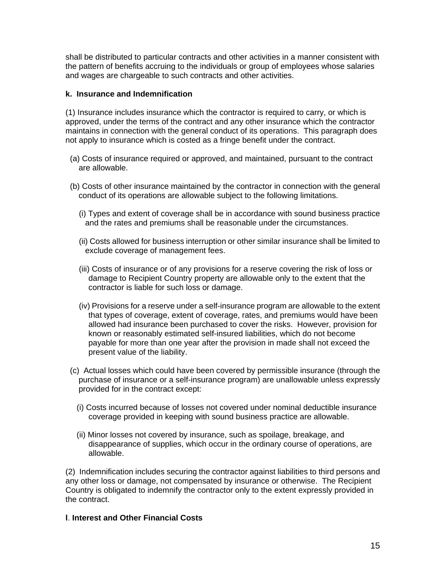shall be distributed to particular contracts and other activities in a manner consistent with the pattern of benefits accruing to the individuals or group of employees whose salaries and wages are chargeable to such contracts and other activities.

#### **k. Insurance and Indemnification**

(1) Insurance includes insurance which the contractor is required to carry, or which is approved, under the terms of the contract and any other insurance which the contractor maintains in connection with the general conduct of its operations. This paragraph does not apply to insurance which is costed as a fringe benefit under the contract.

- (a) Costs of insurance required or approved, and maintained, pursuant to the contract are allowable.
- (b) Costs of other insurance maintained by the contractor in connection with the general conduct of its operations are allowable subject to the following limitations.
	- (i) Types and extent of coverage shall be in accordance with sound business practice and the rates and premiums shall be reasonable under the circumstances.
	- (ii) Costs allowed for business interruption or other similar insurance shall be limited to exclude coverage of management fees.
	- (iii) Costs of insurance or of any provisions for a reserve covering the risk of loss or damage to Recipient Country property are allowable only to the extent that the contractor is liable for such loss or damage.
	- (iv) Provisions for a reserve under a self-insurance program are allowable to the extent that types of coverage, extent of coverage, rates, and premiums would have been allowed had insurance been purchased to cover the risks. However, provision for known or reasonably estimated self-insured liabilities, which do not become payable for more than one year after the provision in made shall not exceed the present value of the liability.
- (c) Actual losses which could have been covered by permissible insurance (through the purchase of insurance or a self-insurance program) are unallowable unless expressly provided for in the contract except:
	- (i) Costs incurred because of losses not covered under nominal deductible insurance coverage provided in keeping with sound business practice are allowable.
	- (ii) Minor losses not covered by insurance, such as spoilage, breakage, and disappearance of supplies, which occur in the ordinary course of operations, are allowable.

(2) Indemnification includes securing the contractor against liabilities to third persons and any other loss or damage, not compensated by insurance or otherwise. The Recipient Country is obligated to indemnify the contractor only to the extent expressly provided in the contract.

#### **l**. **Interest and Other Financial Costs**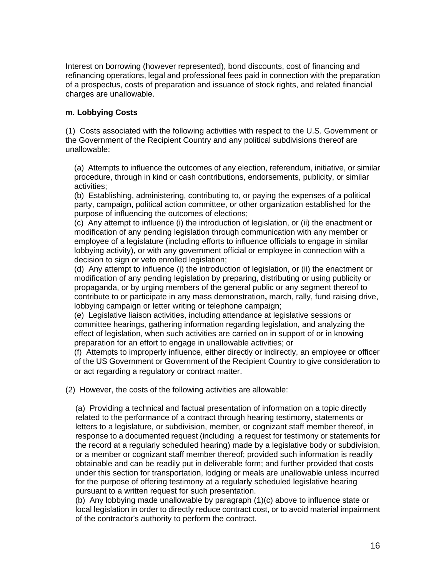Interest on borrowing (however represented), bond discounts, cost of financing and refinancing operations, legal and professional fees paid in connection with the preparation of a prospectus, costs of preparation and issuance of stock rights, and related financial charges are unallowable.

#### **m. Lobbying Costs**

(1) Costs associated with the following activities with respect to the U.S. Government or the Government of the Recipient Country and any political subdivisions thereof are unallowable:

(a) Attempts to influence the outcomes of any election, referendum, initiative, or similar procedure, through in kind or cash contributions, endorsements, publicity, or similar activities;

(b) Establishing, administering, contributing to, or paying the expenses of a political party, campaign, political action committee, or other organization established for the purpose of influencing the outcomes of elections;

(c) Any attempt to influence (i) the introduction of legislation, or (ii) the enactment or modification of any pending legislation through communication with any member or employee of a legislature (including efforts to influence officials to engage in similar lobbying activity), or with any government official or employee in connection with a decision to sign or veto enrolled legislation;

(d) Any attempt to influence (i) the introduction of legislation, or (ii) the enactment or modification of any pending legislation by preparing, distributing or using publicity or propaganda, or by urging members of the general public or any segment thereof to contribute to or participate in any mass demonstration**,** march, rally, fund raising drive, lobbying campaign or letter writing or telephone campaign;

(e) Legislative liaison activities, including attendance at legislative sessions or committee hearings, gathering information regarding legislation, and analyzing the effect of legislation, when such activities are carried on in support of or in knowing preparation for an effort to engage in unallowable activities; or

(f) Attempts to improperly influence, either directly or indirectly, an employee or officer of the US Government or Government of the Recipient Country to give consideration to or act regarding a regulatory or contract matter.

(2) However, the costs of the following activities are allowable:

(a) Providing a technical and factual presentation of information on a topic directly related to the performance of a contract through hearing testimony, statements or letters to a legislature, or subdivision, member, or cognizant staff member thereof, in response to a documented request (including a request for testimony or statements for the record at a regularly scheduled hearing) made by a legislative body or subdivision, or a member or cognizant staff member thereof; provided such information is readily obtainable and can be readily put in deliverable form; and further provided that costs under this section for transportation, lodging or meals are unallowable unless incurred for the purpose of offering testimony at a regularly scheduled legislative hearing pursuant to a written request for such presentation.

(b) Any lobbying made unallowable by paragraph (1)(c) above to influence state or local legislation in order to directly reduce contract cost, or to avoid material impairment of the contractor's authority to perform the contract.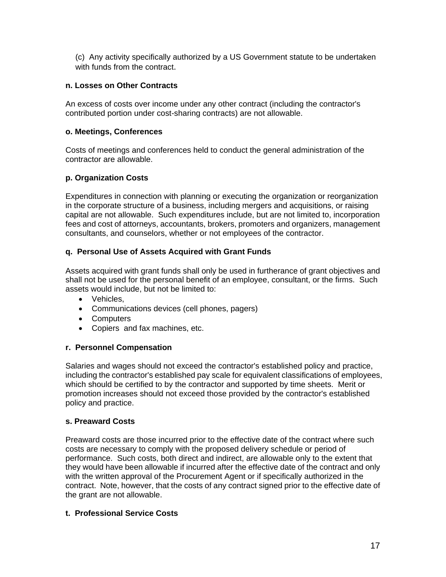(c) Any activity specifically authorized by a US Government statute to be undertaken with funds from the contract.

#### **n. Losses on Other Contracts**

An excess of costs over income under any other contract (including the contractor's contributed portion under cost-sharing contracts) are not allowable.

#### **o. Meetings, Conferences**

Costs of meetings and conferences held to conduct the general administration of the contractor are allowable.

#### **p. Organization Costs**

Expenditures in connection with planning or executing the organization or reorganization in the corporate structure of a business, including mergers and acquisitions, or raising capital are not allowable. Such expenditures include, but are not limited to, incorporation fees and cost of attorneys, accountants, brokers, promoters and organizers, management consultants, and counselors, whether or not employees of the contractor.

#### **q. Personal Use of Assets Acquired with Grant Funds**

Assets acquired with grant funds shall only be used in furtherance of grant objectives and shall not be used for the personal benefit of an employee, consultant, or the firms. Such assets would include, but not be limited to:

- Vehicles,
- Communications devices (cell phones, pagers)
- Computers
- Copiers and fax machines, etc.

#### **r. Personnel Compensation**

Salaries and wages should not exceed the contractor's established policy and practice, including the contractor's established pay scale for equivalent classifications of employees, which should be certified to by the contractor and supported by time sheets. Merit or promotion increases should not exceed those provided by the contractor's established policy and practice.

#### **s. Preaward Costs**

Preaward costs are those incurred prior to the effective date of the contract where such costs are necessary to comply with the proposed delivery schedule or period of performance. Such costs, both direct and indirect, are allowable only to the extent that they would have been allowable if incurred after the effective date of the contract and only with the written approval of the Procurement Agent or if specifically authorized in the contract. Note, however, that the costs of any contract signed prior to the effective date of the grant are not allowable.

#### **t. Professional Service Costs**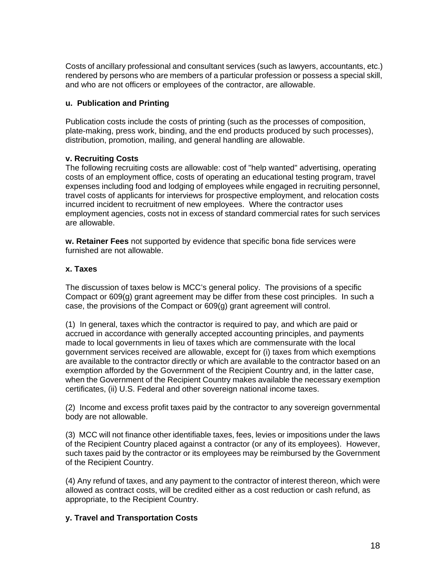Costs of ancillary professional and consultant services (such as lawyers, accountants, etc.) rendered by persons who are members of a particular profession or possess a special skill, and who are not officers or employees of the contractor, are allowable.

#### **u. Publication and Printing**

Publication costs include the costs of printing (such as the processes of composition, plate-making, press work, binding, and the end products produced by such processes), distribution, promotion, mailing, and general handling are allowable.

#### **v. Recruiting Costs**

The following recruiting costs are allowable: cost of "help wanted" advertising, operating costs of an employment office, costs of operating an educational testing program, travel expenses including food and lodging of employees while engaged in recruiting personnel, travel costs of applicants for interviews for prospective employment, and relocation costs incurred incident to recruitment of new employees. Where the contractor uses employment agencies, costs not in excess of standard commercial rates for such services are allowable.

**w. Retainer Fees** not supported by evidence that specific bona fide services were furnished are not allowable.

#### **x. Taxes**

The discussion of taxes below is MCC's general policy. The provisions of a specific Compact or 609(g) grant agreement may be differ from these cost principles. In such a case, the provisions of the Compact or 609(g) grant agreement will control.

(1) In general, taxes which the contractor is required to pay, and which are paid or accrued in accordance with generally accepted accounting principles, and payments made to local governments in lieu of taxes which are commensurate with the local government services received are allowable, except for (i) taxes from which exemptions are available to the contractor directly or which are available to the contractor based on an exemption afforded by the Government of the Recipient Country and, in the latter case, when the Government of the Recipient Country makes available the necessary exemption certificates, (ii) U.S. Federal and other sovereign national income taxes.

(2) Income and excess profit taxes paid by the contractor to any sovereign governmental body are not allowable.

(3) MCC will not finance other identifiable taxes, fees, levies or impositions under the laws of the Recipient Country placed against a contractor (or any of its employees). However, such taxes paid by the contractor or its employees may be reimbursed by the Government of the Recipient Country.

(4) Any refund of taxes, and any payment to the contractor of interest thereon, which were allowed as contract costs, will be credited either as a cost reduction or cash refund, as appropriate, to the Recipient Country.

### **y. Travel and Transportation Costs**